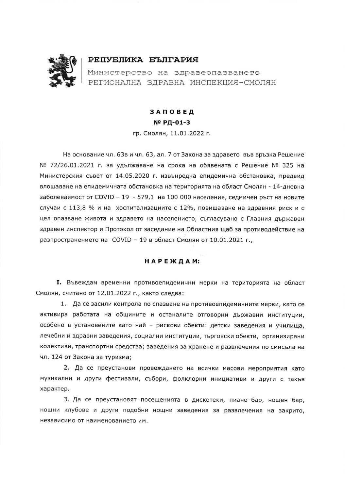

## РЕПУБЛИКА БЪЛГАРИЯ

Министерство на здравеопазването РЕГИОНАЛНА ЗДРАВНА ИНСПЕКЦИЯ-СМОЛЯН

## ЗАПОВЕД № РД-01-3

гр. Смолян, 11.01.2022 г.

На основание чл. 63в и чл. 63, ал. 7 от Закона за здравето във връзка Решение № 72/26.01.2021 г. за удължаване на срока на обявената с Решение № 325 на Министерския съвет от 14.05.2020 г. извънредна епидемична обстановка, предвид влошаване на епидемичната обстановка на територията на област Смолян - 14-дневна заболеваемост от COVID - 19 - 579,1 на 100 000 население, седмичен ръст на новите случаи с 113,8 % и на хоспитализациите с 12%, повишаване на здравния риск и с цел опазване живота и здравето на населението, съгласувано с Главния държавен здравен инспектор и Протокол от заседание на Областния щаб за противодействие на разпространението на COVID - 19 в област Смолян от 10.01.2021 г.,

## НАРЕЖДАМ:

I. Въвеждам временни противоепидемични мерки на територията на област Смолян, считано от 12.01.2022 г., както следва:

1. Да се засили контрола по спазване на противоепидемичните мерки, като се активира работата на общините и останалите отговорни държавни институции, особено в установените като най - рискови обекти: детски заведения и училища, лечебни и здравни заведения, социални институции, търговски обекти, организирани колективи, транспортни средства; заведения за хранене и развлечения по смисъла на чл. 124 от Закона за туризма;

2. Да се преустанови провеждането на всички масови мероприятия като музикални и други фестивали, събори, фолклорни инициативи и други с такъв характер.

3. Да се преустановят посещенията в дискотеки, пиано-бар, нощен бар, нощни клубове и други подобни нощни заведения за развлечения на закрито, независимо от наименованието им.